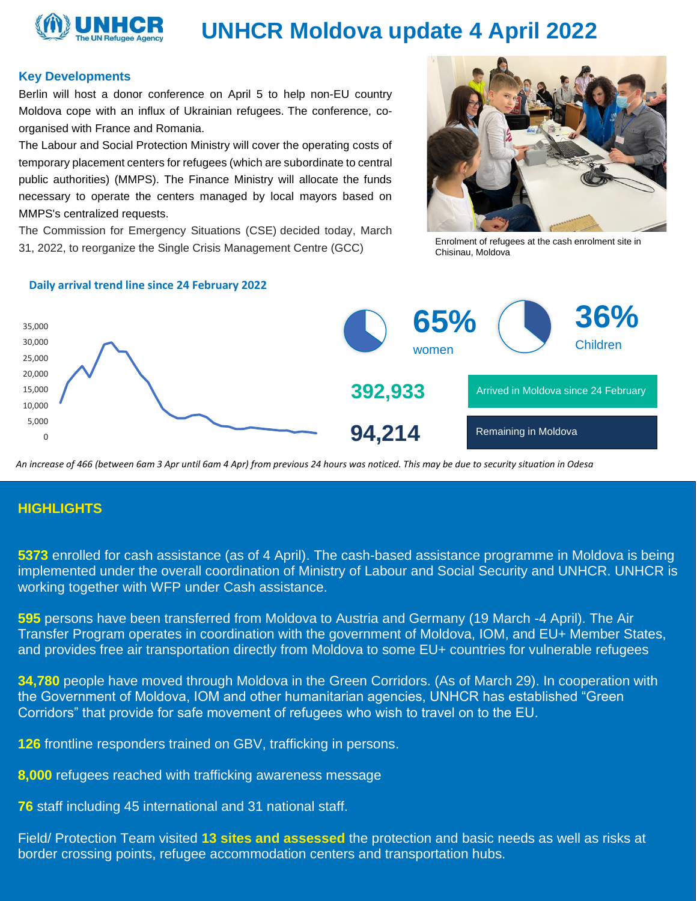

# **UNHCR Moldova update 4 April 2022**

#### **Key Developments**

Berlin will host a donor conference on April 5 to help non-EU country Moldova cope with an influx of Ukrainian refugees. The conference, coorganised with France and Romania.

The Labour and Social Protection Ministry will cover the operating costs of temporary placement centers for refugees (which are subordinate to central public authorities) (MMPS). The Finance Ministry will allocate the funds necessary to operate the centers managed by local mayors based on MMPS's centralized requests.

The Commission for Emergency Situations (CSE) decided today, March 31, 2022, to reorganize the Single Crisis Management Centre (GCC)



Enrolment of refugees at the cash enrolment site in Chisinau, Moldova





*An increase of 466 (between 6am 3 Apr until 6am 4 Apr) from previous 24 hours was noticed. This may be due to security situation in Odesa*

## **HIGHLIGHTS**

**5373** enrolled for cash assistance (as of 4 April). The cash-based assistance programme in Moldova is being implemented under the overall coordination of Ministry of Labour and Social Security and UNHCR. UNHCR is working together with WFP under Cash assistance.

**595** persons have been transferred from Moldova to Austria and Germany (19 March -4 April). The Air Transfer Program operates in coordination with the government of Moldova, IOM, and EU+ Member States, and provides free air transportation directly from Moldova to some EU+ countries for vulnerable refugees

**34,780** people have moved through Moldova in the Green Corridors. (As of March 29). In cooperation with the Government of Moldova, IOM and other humanitarian agencies, UNHCR has established "Green Corridors" that provide for safe movement of refugees who wish to travel on to the EU.

**126** frontline responders trained on GBV, trafficking in persons.

**8,000** refugees reached with trafficking awareness message

**76** staff including 45 international and 31 national staff.

Field/ Protection Team visited **13 sites and assessed** the protection and basic needs as well as risks at border crossing points, refugee accommodation centers and transportation hubs.